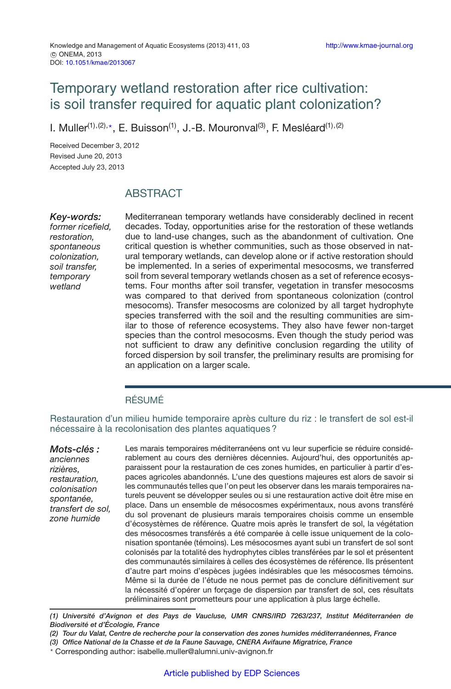# Temporary wetland restoration after rice cultivation: is soil transfer required for aquatic plant colonization?

I. Muller<sup>(1),(2),\*</sup>, E. Buisson<sup>(1)</sup>, J.-B. Mouronval<sup>(3)</sup>, F. Mesléard<sup>(1),(2)</sup>

Received December 3, 2012 Revised June 20, 2013 Accepted July 23, 2013

# ABSTRACT

*Key-words:*

*former ricefield, restoration, spontaneous colonization, soil transfer, temporary wetland*

Mediterranean temporary wetlands have considerably declined in recent decades. Today, opportunities arise for the restoration of these wetlands due to land-use changes, such as the abandonment of cultivation. One critical question is whether communities, such as those observed in natural temporary wetlands, can develop alone or if active restoration should be implemented. In a series of experimental mesocosms, we transferred soil from several temporary wetlands chosen as a set of reference ecosystems. Four months after soil transfer, vegetation in transfer mesocosms was compared to that derived from spontaneous colonization (control mesocoms). Transfer mesocosms are colonized by all target hydrophyte species transferred with the soil and the resulting communities are similar to those of reference ecosystems. They also have fewer non-target species than the control mesocosms. Even though the study period was not sufficient to draw any definitive conclusion regarding the utility of forced dispersion by soil transfer, the preliminary results are promising for an application on a larger scale.

# RÉSUMÉ

Restauration d'un milieu humide temporaire après culture du riz : le transfert de sol est-il nécessaire à la recolonisation des plantes aquatiques ?

*Mots-clés : anciennes rizières, restauration, colonisation spontanée, transfert de sol, zone humide*

Les marais temporaires méditerranéens ont vu leur superficie se réduire considérablement au cours des dernières décennies. Aujourd'hui, des opportunités apparaissent pour la restauration de ces zones humides, en particulier à partir d'espaces agricoles abandonnés. L'une des questions majeures est alors de savoir si les communautés telles que l'on peut les observer dans les marais temporaires naturels peuvent se développer seules ou si une restauration active doit être mise en place. Dans un ensemble de mésocosmes expérimentaux, nous avons transféré du sol provenant de plusieurs marais temporaires choisis comme un ensemble d'écosystèmes de référence. Quatre mois après le transfert de sol, la végétation des mésocosmes transférés a été comparée à celle issue uniquement de la colonisation spontanée (témoins). Les mésocosmes ayant subi un transfert de sol sont colonisés par la totalité des hydrophytes cibles transférées par le sol et présentent des communautés similaires à celles des écosystèmes de référence. Ils présentent d'autre part moins d'espèces jugées indésirables que les mésocosmes témoins. Même si la durée de l'étude ne nous permet pas de conclure définitivement sur la nécessité d'opérer un forçage de dispersion par transfert de sol, ces résultats préliminaires sont prometteurs pour une application à plus large échelle.

*(1) Université d'Avignon et des Pays de Vaucluse, UMR CNRS/IRD 7263/237, Institut Méditerranéen de Biodiversité et d'Écologie, France*

*(2) Tour du Valat, Centre de recherche pour la conservation des zones humides méditerranéennes, France*

*(3) Office National de la Chasse et de la Faune Sauvage, CNERA Avifaune Migratrice, France*

- Corresponding author: isabelle.muller@alumni.univ-avignon.fr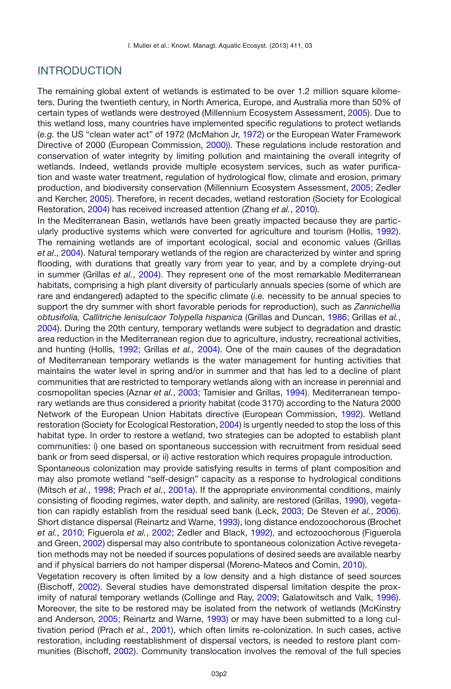# INTRODUCTION

The remaining global extent of wetlands is estimated to be over 1.2 million square kilometers. During the twentieth century, in North America, Europe, and Australia more than 50% of certain types of wetlands were destroyed (Millennium Ecosystem Assessment, [2005\)](#page-14-0). Due to this wetland loss, many countries have implemented specific regulations to protect wetlands (*e.g.* the US "clean water act" of 1972 (McMahon Jr, [1972](#page-14-1)) or the European Water Framework Directive of 2000 (European Commission, [2000](#page-13-0))). These regulations include restoration and conservation of water integrity by limiting pollution and maintaining the overall integrity of wetlands. Indeed, wetlands provide multiple ecosystem services, such as water purification and waste water treatment, regulation of hydrological flow, climate and erosion, primary production, and biodiversity conservation (Millennium Ecosystem Assessment, [2005](#page-14-0); Zedler and Kercher, [2005\)](#page-15-0). Therefore, in recent decades, wetland restoration (Society for Ecological Restoration, [2004](#page-15-1)) has received increased attention (Zhang *et al.*, [2010](#page-15-2)).

In the Mediterranean Basin, wetlands have been greatly impacted because they are particularly productive systems which were converted for agriculture and tourism (Hollis, [1992](#page-14-2)). The remaining wetlands are of important ecological, social and economic values (Grillas *et al*., [2004](#page-13-1)). Natural temporary wetlands of the region are characterized by winter and spring flooding, with durations that greatly vary from year to year, and by a complete drying-out in summer (Grillas *et al.*, [2004](#page-13-1)). They represent one of the most remarkable Mediterranean habitats, comprising a high plant diversity of particularly annuals species (some of which are rare and endangered) adapted to the specific climate (*i.e.* necessity to be annual species to support the dry summer with short favorable periods for reproduction), such as *Zannichellia obtusifolia, Callitriche lenisulcaor Tolypella hispanica* (Grillas and Duncan, [1986;](#page-13-2) Grillas *et al.*, [2004\)](#page-13-1). During the 20th century, temporary wetlands were subject to degradation and drastic area reduction in the Mediterranean region due to agriculture, industry, recreational activities, and hunting (Hollis, [1992](#page-14-2); Grillas *et al.,* [2004](#page-13-1)). One of the main causes of the degradation of Mediterranean temporary wetlands is the water management for hunting activities that maintains the water level in spring and/or in summer and that has led to a decline of plant communities that are restricted to temporary wetlands along with an increase in perennial and cosmopolitan species (Aznar *et al.*, [2003;](#page-13-3) Tamisier and Grillas, [1994](#page-15-3)). Mediterranean temporary wetlands are thus considered a priority habitat (code 3170) according to the Natura 2000 Network of the European Union Habitats directive (European Commission, [1992\)](#page-13-4). Wetland restoration (Society for Ecological Restoration, [2004\)](#page-15-1) is urgently needed to stop the loss of this habitat type. In order to restore a wetland, two strategies can be adopted to establish plant communities: i) one based on spontaneous succession with recruitment from residual seed bank or from seed dispersal, or ii) active restoration which requires propagule introduction.

Spontaneous colonization may provide satisfying results in terms of plant composition and may also promote wetland "self-design" capacity as a response to hydrological conditions (Mitsch *et al.*, [1998;](#page-14-3) Prach *et al.*, [2001a](#page-14-4)). If the appropriate environmental conditions, mainly consisting of flooding regimes, water depth, and salinity, are restored (Grillas, [1990](#page-13-5)), vegetation can rapidly establish from the residual seed bank (Leck, [2003](#page-14-5); De Steven *et al.*, [2006](#page-15-4)). Short distance dispersal (Reinartz and Warne, [1993\)](#page-15-5), long distance endozoochorous (Brochet *et al.*, [2010](#page-13-6); Figuerola *et al.*, [2002](#page-13-7); Zedler and Black, [1992\)](#page-15-6), and ectozoochorous (Figuerola and Green, [2002](#page-13-8)) dispersal may also contribute to spontaneous colonization Active revegetation methods may not be needed if sources populations of desired seeds are available nearby and if physical barriers do not hamper dispersal (Moreno-Mateos and Comin, [2010](#page-14-6)).

Vegetation recovery is often limited by a low density and a high distance of seed sources (Bischoff, [2002\)](#page-13-9). Several studies have demonstrated dispersal limitation despite the proximity of natural temporary wetlands (Collinge and Ray, [2009](#page-13-10); Galatowitsch and Valk, [1996](#page-13-11)). Moreover, the site to be restored may be isolated from the network of wetlands (McKinstry and Anderson, [2005](#page-14-7); Reinartz and Warne, [1993\)](#page-15-5) or may have been submitted to a long cultivation period (Prach *et al.*, [2001\)](#page-15-7), which often limits re-colonization. In such cases, active restoration, including reestablishment of dispersal vectors, is needed to restore plant communities (Bischoff, [2002](#page-13-9)). Community translocation involves the removal of the full species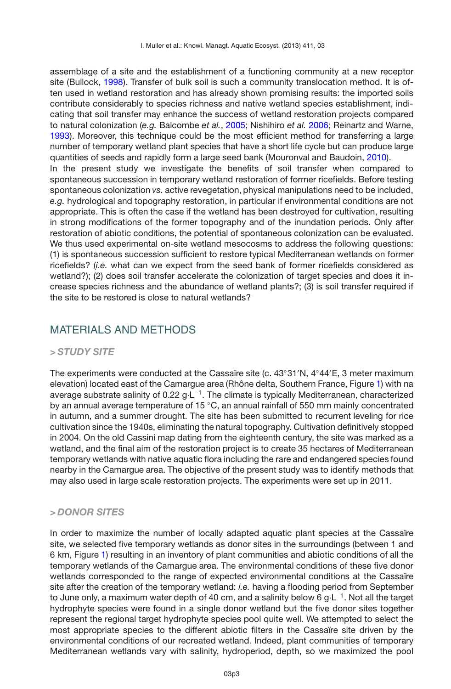assemblage of a site and the establishment of a functioning community at a new receptor site (Bullock, [1998](#page-13-12)). Transfer of bulk soil is such a community translocation method. It is often used in wetland restoration and has already shown promising results: the imported soils contribute considerably to species richness and native wetland species establishment, indicating that soil transfer may enhance the success of wetland restoration projects compared to natural colonization (*e.g.* Balcombe *et al.*, [2005;](#page-13-13) Nishihiro *et al.* [2006;](#page-14-8) Reinartz and Warne, [1993\)](#page-15-5). Moreover, this technique could be the most efficient method for transferring a large number of temporary wetland plant species that have a short life cycle but can produce large quantities of seeds and rapidly form a large seed bank (Mouronval and Baudoin, [2010](#page-14-9)). In the present study we investigate the benefits of soil transfer when compared to spontaneous succession in temporary wetland restoration of former ricefields. Before testing spontaneous colonization *vs.* active revegetation, physical manipulations need to be included, *e.g.* hydrological and topography restoration, in particular if environmental conditions are not appropriate. This is often the case if the wetland has been destroyed for cultivation, resulting in strong modifications of the former topography and of the inundation periods. Only after restoration of abiotic conditions, the potential of spontaneous colonization can be evaluated. We thus used experimental on-site wetland mesocosms to address the following questions: (1) is spontaneous succession sufficient to restore typical Mediterranean wetlands on former ricefields? (*i.e.* what can we expect from the seed bank of former ricefields considered as wetland?); (2) does soil transfer accelerate the colonization of target species and does it increase species richness and the abundance of wetland plants?; (3) is soil transfer required if the site to be restored is close to natural wetlands?

# MATERIALS AND METHODS

### *> STUDY SITE*

The experiments were conducted at the Cassaïre site (c. 43°31′N, 4°44′E, 3 meter maximum elevation) located east of the Camargue area (Rhône delta, Southern France, Figure [1\)](#page-3-0) with na average substrate salinity of 0.22 g⋅L<sup>-1</sup>. The climate is typically Mediterranean, characterized by an annual average temperature of 15 °C, an annual rainfall of 550 mm mainly concentrated in autumn, and a summer drought. The site has been submitted to recurrent leveling for rice cultivation since the 1940s, eliminating the natural topography. Cultivation definitively stopped in 2004. On the old Cassini map dating from the eighteenth century, the site was marked as a wetland, and the final aim of the restoration project is to create 35 hectares of Mediterranean temporary wetlands with native aquatic flora including the rare and endangered species found nearby in the Camargue area. The objective of the present study was to identify methods that may also used in large scale restoration projects. The experiments were set up in 2011.

# *> DONOR SITES*

In order to maximize the number of locally adapted aquatic plant species at the Cassaïre site, we selected five temporary wetlands as donor sites in the surroundings (between 1 and 6 km, Figure [1\)](#page-3-0) resulting in an inventory of plant communities and abiotic conditions of all the temporary wetlands of the Camargue area. The environmental conditions of these five donor wetlands corresponded to the range of expected environmental conditions at the Cassaïre site after the creation of the temporary wetland: *i.e.* having a flooding period from September to June only, a maximum water depth of 40 cm, and a salinity below 6 g⋅L<sup>-1</sup>. Not all the target hydrophyte species were found in a single donor wetland but the five donor sites together represent the regional target hydrophyte species pool quite well. We attempted to select the most appropriate species to the different abiotic filters in the Cassaïre site driven by the environmental conditions of our recreated wetland. Indeed, plant communities of temporary Mediterranean wetlands vary with salinity, hydroperiod, depth, so we maximized the pool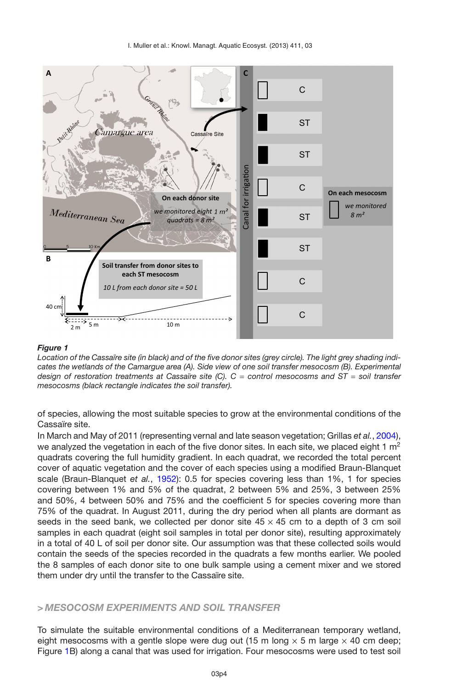<span id="page-3-0"></span>

*Location of the Cassaïre site (in black) and of the five donor sites (grey circle). The light grey shading indicates the wetlands of the Camargue area (A). Side view of one soil transfer mesocosm (B). Experimental design of restoration treatments at Cassaïre site (C). C* = *control mesocosms and ST* = *soil transfer mesocosms (black rectangle indicates the soil transfer).*

of species, allowing the most suitable species to grow at the environmental conditions of the Cassaïre site.

In March and May of 2011 (representing vernal and late season vegetation; Grillas *et al.*, [2004](#page-13-1)), we analyzed the vegetation in each of the five donor sites. In each site, we placed eight 1  $m^2$ quadrats covering the full humidity gradient. In each quadrat, we recorded the total percent cover of aquatic vegetation and the cover of each species using a modified Braun-Blanquet scale (Braun-Blanquet *et al.*, [1952\)](#page-13-14): 0.5 for species covering less than 1%, 1 for species covering between 1% and 5% of the quadrat, 2 between 5% and 25%, 3 between 25% and 50%, 4 between 50% and 75% and the coefficient 5 for species covering more than 75% of the quadrat. In August 2011, during the dry period when all plants are dormant as seeds in the seed bank, we collected per donor site  $45 \times 45$  cm to a depth of 3 cm soil samples in each quadrat (eight soil samples in total per donor site), resulting approximately in a total of 40 L of soil per donor site. Our assumption was that these collected soils would contain the seeds of the species recorded in the quadrats a few months earlier. We pooled the 8 samples of each donor site to one bulk sample using a cement mixer and we stored them under dry until the transfer to the Cassaïre site.

### *> MESOCOSM EXPERIMENTS AND SOIL TRANSFER*

To simulate the suitable environmental conditions of a Mediterranean temporary wetland, eight mesocosms with a gentle slope were dug out (15 m long  $\times$  5 m large  $\times$  40 cm deep; Figure [1B](#page-3-0)) along a canal that was used for irrigation. Four mesocosms were used to test soil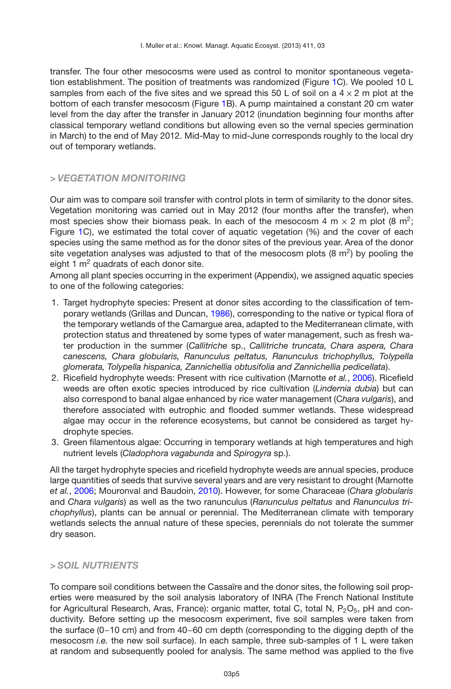transfer. The four other mesocosms were used as control to monitor spontaneous vegetation establishment. The position of treatments was randomized (Figure [1C](#page-3-0)). We pooled 10 L samples from each of the five sites and we spread this 50 L of soil on a  $4 \times 2$  m plot at the bottom of each transfer mesocosm (Figure [1B](#page-3-0)). A pump maintained a constant 20 cm water level from the day after the transfer in January 2012 (inundation beginning four months after classical temporary wetland conditions but allowing even so the vernal species germination in March) to the end of May 2012. Mid-May to mid-June corresponds roughly to the local dry out of temporary wetlands.

# *> VEGETATION MONITORING*

Our aim was to compare soil transfer with control plots in term of similarity to the donor sites. Vegetation monitoring was carried out in May 2012 (four months after the transfer), when most species show their biomass peak. In each of the mesocosm 4 m  $\times$  2 m plot (8 m<sup>2</sup>; Figure [1C](#page-3-0)), we estimated the total cover of aquatic vegetation (%) and the cover of each species using the same method as for the donor sites of the previous year. Area of the donor site vegetation analyses was adjusted to that of the mesocosm plots  $(8 \text{ m}^2)$  by pooling the eight 1  $m<sup>2</sup>$  quadrats of each donor site.

Among all plant species occurring in the experiment (Appendix), we assigned aquatic species to one of the following categories:

- 1. Target hydrophyte species: Present at donor sites according to the classification of temporary wetlands (Grillas and Duncan, [1986](#page-13-2)), corresponding to the native or typical flora of the temporary wetlands of the Camargue area, adapted to the Mediterranean climate, with protection status and threatened by some types of water management, such as fresh water production in the summer (*Callitriche* sp., *Callitriche truncata, Chara aspera, Chara canescens, Chara globularis, Ranunculus peltatus, Ranunculus trichophyllus, Tolypella glomerata, Tolypella hispanica, Zannichellia obtusifolia and Zannichellia pedicellata*).
- 2. Ricefield hydrophyte weeds: Present with rice cultivation (Marnotte *et al.*, [2006](#page-14-10)). Ricefield weeds are often exotic species introduced by rice cultivation (*Lindernia dubia*) but can also correspond to banal algae enhanced by rice water management (C*hara vulgaris*), and therefore associated with eutrophic and flooded summer wetlands. These widespread algae may occur in the reference ecosystems, but cannot be considered as target hydrophyte species.
- 3. Green filamentous algae: Occurring in temporary wetlands at high temperatures and high nutrient levels (*Cladophora vagabunda* and *Spirogyra* sp.).

All the target hydrophyte species and ricefield hydrophyte weeds are annual species, produce large quantities of seeds that survive several years and are very resistant to drought (Marnotte *et al.*, [2006](#page-14-10); Mouronval and Baudoin, [2010\)](#page-14-9). However, for some Characeae (*Chara globularis* and *Chara vulgaris*) as well as the two ranunculus (*Ranunculus peltatus* and *Ranunculus trichophyllus*), plants can be annual or perennial. The Mediterranean climate with temporary wetlands selects the annual nature of these species, perennials do not tolerate the summer dry season.

# *> SOIL NUTRIENTS*

To compare soil conditions between the Cassaïre and the donor sites, the following soil properties were measured by the soil analysis laboratory of INRA (The French National Institute for Agricultural Research, Aras, France): organic matter, total C, total N,  $P_2O_5$ , pH and conductivity. Before setting up the mesocosm experiment, five soil samples were taken from the surface (0−10 cm) and from 40−60 cm depth (corresponding to the digging depth of the mesocosm *i.e.* the new soil surface). In each sample, three sub-samples of 1 L were taken at random and subsequently pooled for analysis. The same method was applied to the five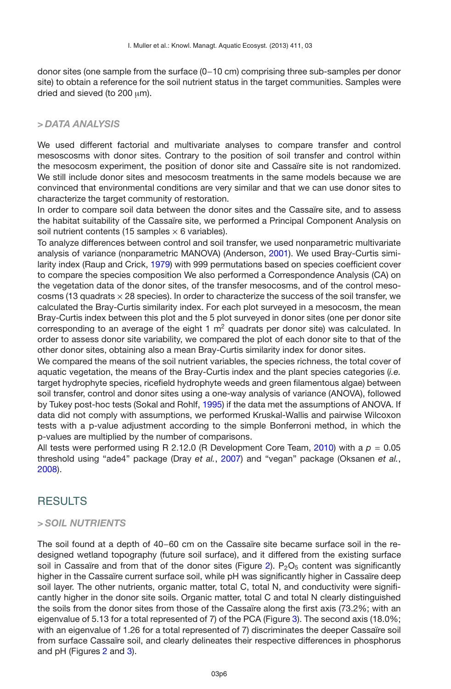donor sites (one sample from the surface (0−10 cm) comprising three sub-samples per donor site) to obtain a reference for the soil nutrient status in the target communities. Samples were dried and sieved (to 200  $\mu$ m).

#### *> DATA ANALYSIS*

We used different factorial and multivariate analyses to compare transfer and control mesoscosms with donor sites. Contrary to the position of soil transfer and control within the mesocosm experiment, the position of donor site and Cassaïre site is not randomized. We still include donor sites and mesocosm treatments in the same models because we are convinced that environmental conditions are very similar and that we can use donor sites to characterize the target community of restoration.

In order to compare soil data between the donor sites and the Cassaïre site, and to assess the habitat suitability of the Cassaïre site, we performed a Principal Component Analysis on soil nutrient contents (15 samples  $\times$  6 variables).

To analyze differences between control and soil transfer, we used nonparametric multivariate analysis of variance (nonparametric MANOVA) (Anderson, [2001](#page-13-15)). We used Bray-Curtis similarity index (Raup and Crick, [1979](#page-15-8)) with 999 permutations based on species coefficient cover to compare the species composition We also performed a Correspondence Analysis (CA) on the vegetation data of the donor sites, of the transfer mesocosms, and of the control mesocosms (13 quadrats  $\times$  28 species). In order to characterize the success of the soil transfer, we calculated the Bray-Curtis similarity index. For each plot surveyed in a mesocosm, the mean Bray-Curtis index between this plot and the 5 plot surveyed in donor sites (one per donor site corresponding to an average of the eight 1  $m<sup>2</sup>$  quadrats per donor site) was calculated. In order to assess donor site variability, we compared the plot of each donor site to that of the other donor sites, obtaining also a mean Bray-Curtis similarity index for donor sites.

We compared the means of the soil nutrient variables, the species richness, the total cover of aquatic vegetation, the means of the Bray-Curtis index and the plant species categories (*i.e.* target hydrophyte species, ricefield hydrophyte weeds and green filamentous algae) between soil transfer, control and donor sites using a one-way analysis of variance (ANOVA), followed by Tukey post-hoc tests (Sokal and Rohlf, [1995](#page-15-9)) if the data met the assumptions of ANOVA. If data did not comply with assumptions, we performed Kruskal-Wallis and pairwise Wilcoxon tests with a p-value adjustment according to the simple Bonferroni method, in which the p-values are multiplied by the number of comparisons.

All tests were performed using R 2.12.0 (R Development Core Team, [2010](#page-15-10)) with a  $p = 0.05$ threshold using "ade4" package (Dray *et al.*, [2007](#page-13-16)) and "vegan" package (Oksanen *et al.*, [2008\)](#page-14-11).

# **RESULTS**

#### *> SOIL NUTRIENTS*

The soil found at a depth of 40−60 cm on the Cassaïre site became surface soil in the redesigned wetland topography (future soil surface), and it differed from the existing surface soil in Cassaïre and from that of the donor sites (Figure [2\)](#page-6-0).  $P_2O_5$  content was significantly higher in the Cassaïre current surface soil, while pH was significantly higher in Cassaïre deep soil layer. The other nutrients, organic matter, total C, total N, and conductivity were significantly higher in the donor site soils. Organic matter, total C and total N clearly distinguished the soils from the donor sites from those of the Cassaïre along the first axis (73.2%; with an eigenvalue of 5.13 for a total represented of 7) of the PCA (Figure [3\)](#page-7-0). The second axis (18.0%; with an eigenvalue of 1.26 for a total represented of 7) discriminates the deeper Cassaïre soil from surface Cassaïre soil, and clearly delineates their respective differences in phosphorus and pH (Figures [2](#page-6-0) and [3\)](#page-7-0).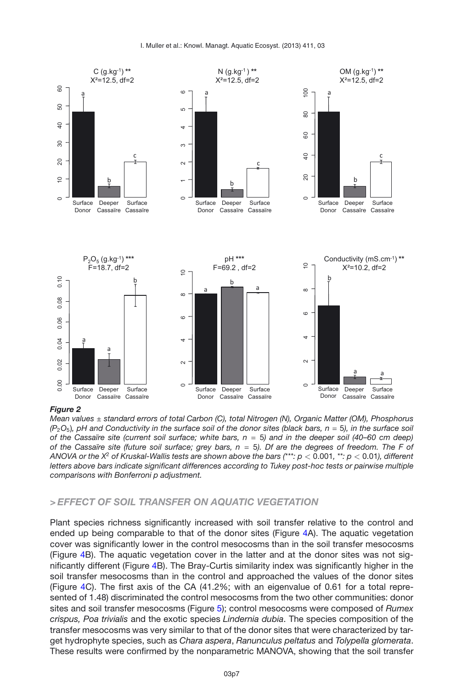

<span id="page-6-0"></span>*Mean values* ± *standard errors of total Carbon (C), total Nitrogen (N), Organic Matter (OM), Phosphorus (P*2*O*5)*, pH and Conductivity in the surface soil of the donor sites (black bars, n* = 5*), in the surface soil of the Cassaïre site (current soil surface; white bars, n* = 5*) and in the deeper soil (40–60 cm deep) of the Cassaïre site (future soil surface; grey bars, n* = 5*). Df are the degrees of freedom. The F of ANOVA or the X*<sup>2</sup> *of Kruskal-Wallis tests are shown above the bars (\*\*\*: p <* 0.001*, \*\*: p <* 0.01*), different letters above bars indicate significant differences according to Tukey post-hoc tests or pairwise multiple comparisons with Bonferroni p adjustment.*

### *> EFFECT OF SOIL TRANSFER ON AQUATIC VEGETATION*

Plant species richness significantly increased with soil transfer relative to the control and ended up being comparable to that of the donor sites (Figure [4A](#page-8-0)). The aquatic vegetation cover was significantly lower in the control mesocosms than in the soil transfer mesocosms (Figure [4B](#page-8-0)). The aquatic vegetation cover in the latter and at the donor sites was not significantly different (Figure [4B](#page-8-0)). The Bray-Curtis similarity index was significantly higher in the soil transfer mesocosms than in the control and approached the values of the donor sites (Figure [4C](#page-8-0)). The first axis of the CA (41.2%; with an eigenvalue of 0.61 for a total represented of 1.48) discriminated the control mesocosms from the two other communities: donor sites and soil transfer mesocosms (Figure [5\)](#page-9-0); control mesocosms were composed of *Rumex crispus, Poa trivialis* and the exotic species *Lindernia dubia*. The species composition of the transfer mesocosms was very similar to that of the donor sites that were characterized by target hydrophyte species, such as *Chara aspera*, *Ranunculus peltatus* and *Tolypella glomerata*. These results were confirmed by the nonparametric MANOVA, showing that the soil transfer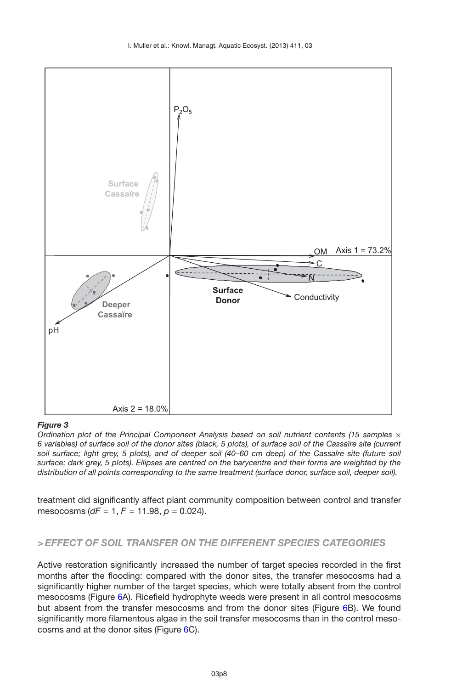

<span id="page-7-0"></span>*Ordination plot of the Principal Component Analysis based on soil nutrient contents (15 samples x 6 variables) of surface soil of the donor sites (black, 5 plots), of surface soil of the Cassaïre site (current soil surface; light grey, 5 plots), and of deeper soil (40–60 cm deep) of the Cassaïre site (future soil surface; dark grey, 5 plots). Ellipses are centred on the barycentre and their forms are weighted by the distribution of all points corresponding to the same treatment (surface donor, surface soil, deeper soil).*

treatment did significantly affect plant community composition between control and transfer mesocosms (*dF* = 1, *F* = 11.98, *p* = 0.024).

#### *> EFFECT OF SOIL TRANSFER ON THE DIFFERENT SPECIES CATEGORIES*

Active restoration significantly increased the number of target species recorded in the first months after the flooding: compared with the donor sites, the transfer mesocosms had a significantly higher number of the target species, which were totally absent from the control mesocosms (Figure [6A](#page-10-0)). Ricefield hydrophyte weeds were present in all control mesocosms but absent from the transfer mesocosms and from the donor sites (Figure [6B](#page-10-0)). We found significantly more filamentous algae in the soil transfer mesocosms than in the control mesocosms and at the donor sites (Figure [6C](#page-10-0)).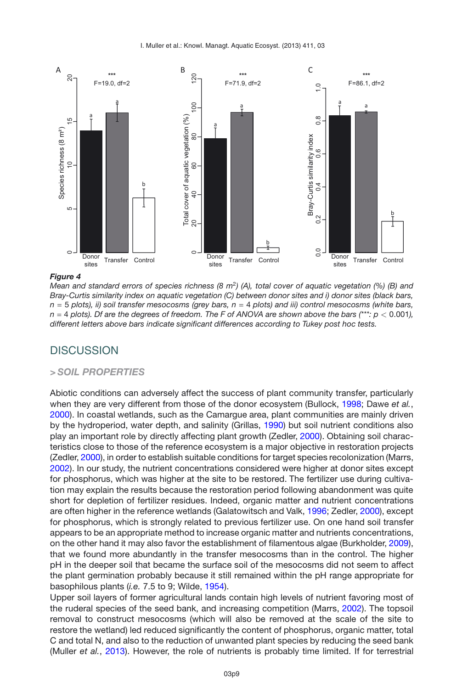<span id="page-8-0"></span>

*Mean and standard errors of species richness (8 m*<sup>2</sup>*) (A), total cover of aquatic vegetation (%) (B) and Bray-Curtis similarity index on aquatic vegetation (C) between donor sites and i) donor sites (black bars, n* = 5 *plots), ii) soil transfer mesocosms (grey bars, n* = 4 *plots) and iii) control mesocosms (white bars, n* = 4 *plots). Df are the degrees of freedom. The F of ANOVA are shown above the bars (\*\*\*: p <* 0.001*), different letters above bars indicate significant differences according to Tukey post hoc tests.*

# **DISCUSSION**

#### *> SOIL PROPERTIES*

Abiotic conditions can adversely affect the success of plant community transfer, particularly when they are very different from those of the donor ecosystem (Bullock, [1998;](#page-13-12) Dawe *et al.*, [2000\)](#page-13-17). In coastal wetlands, such as the Camargue area, plant communities are mainly driven by the hydroperiod, water depth, and salinity (Grillas, [1990\)](#page-13-5) but soil nutrient conditions also play an important role by directly affecting plant growth (Zedler, [2000\)](#page-15-11). Obtaining soil characteristics close to those of the reference ecosystem is a major objective in restoration projects (Zedler, [2000\)](#page-15-11), in order to establish suitable conditions for target species recolonization (Marrs, [2002\)](#page-14-12). In our study, the nutrient concentrations considered were higher at donor sites except for phosphorus, which was higher at the site to be restored. The fertilizer use during cultivation may explain the results because the restoration period following abandonment was quite short for depletion of fertilizer residues. Indeed, organic matter and nutrient concentrations are often higher in the reference wetlands (Galatowitsch and Valk, [1996;](#page-13-11) Zedler, [2000\)](#page-15-11), except for phosphorus, which is strongly related to previous fertilizer use. On one hand soil transfer appears to be an appropriate method to increase organic matter and nutrients concentrations, on the other hand it may also favor the establishment of filamentous algae (Burkholder, [2009](#page-13-18)), that we found more abundantly in the transfer mesocosms than in the control. The higher pH in the deeper soil that became the surface soil of the mesocosms did not seem to affect the plant germination probably because it still remained within the pH range appropriate for basophilous plants (*i.e.* 7.5 to 9; Wilde, [1954\)](#page-15-12).

Upper soil layers of former agricultural lands contain high levels of nutrient favoring most of the ruderal species of the seed bank, and increasing competition (Marrs, [2002](#page-14-12)). The topsoil removal to construct mesocosms (which will also be removed at the scale of the site to restore the wetland) led reduced significantly the content of phosphorus, organic matter, total C and total N, and also to the reduction of unwanted plant species by reducing the seed bank (Muller *et al.*, [2013](#page-14-13)). However, the role of nutrients is probably time limited. If for terrestrial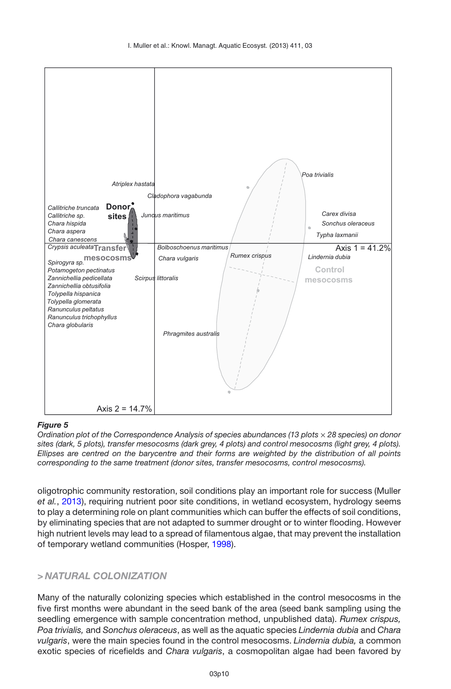

<span id="page-9-0"></span>*Ordination plot of the Correspondence Analysis of species abundances (13 plots* × *28 species) on donor sites (dark, 5 plots), transfer mesocosms (dark grey, 4 plots) and control mesocosms (light grey, 4 plots). Ellipses are centred on the barycentre and their forms are weighted by the distribution of all points corresponding to the same treatment (donor sites, transfer mesocosms, control mesocosms).*

oligotrophic community restoration, soil conditions play an important role for success (Muller *et al.*, [2013](#page-14-13)), requiring nutrient poor site conditions, in wetland ecosystem, hydrology seems to play a determining role on plant communities which can buffer the effects of soil conditions, by eliminating species that are not adapted to summer drought or to winter flooding. However high nutrient levels may lead to a spread of filamentous algae, that may prevent the installation of temporary wetland communities (Hosper, [1998\)](#page-14-14).

### *> NATURAL COLONIZATION*

Many of the naturally colonizing species which established in the control mesocosms in the five first months were abundant in the seed bank of the area (seed bank sampling using the seedling emergence with sample concentration method, unpublished data). *Rumex crispus, Poa trivialis,* and *Sonchus oleraceus*, as well as the aquatic species *Lindernia dubia* and *Chara vulgaris*, were the main species found in the control mesocosms. *Lindernia dubia,* a common exotic species of ricefields and *Chara vulgaris*, a cosmopolitan algae had been favored by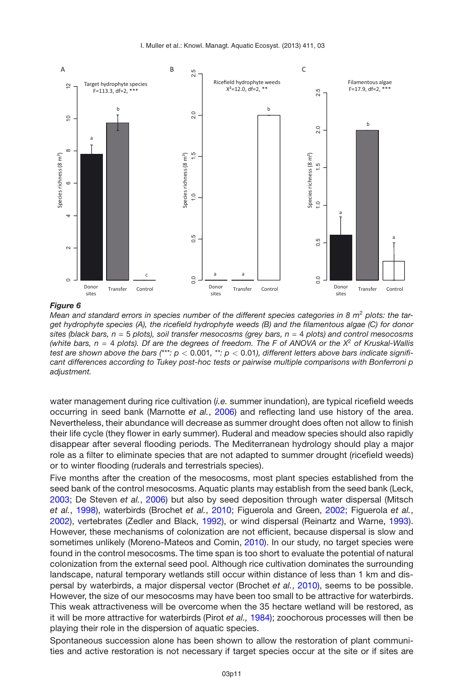<span id="page-10-0"></span>

Mean and standard errors in species number of the different species categories in 8 m<sup>2</sup> plots: the tar*get hydrophyte species (A), the ricefield hydrophyte weeds (B) and the filamentous algae (C) for donor sites (black bars, n* = 5 *plots), soil transfer mesocosms (grey bars, n* = 4 *plots) and control mesocosms (white bars, n* = 4 *plots). Df are the degrees of freedom. The F of ANOVA or the X*<sup>2</sup> *of Kruskal-Wallis test are shown above the bars*  $(***; p < 0.001, **; p < 0.01)$ *, different letters above bars indicate significant differences according to Tukey post-hoc tests or pairwise multiple comparisons with Bonferroni p adjustment.*

water management during rice cultivation (*i.e.* summer inundation), are typical ricefield weeds occurring in seed bank (Marnotte *et al.*, [2006](#page-14-10)) and reflecting land use history of the area. Nevertheless, their abundance will decrease as summer drought does often not allow to finish their life cycle (they flower in early summer). Ruderal and meadow species should also rapidly disappear after several flooding periods. The Mediterranean hydrology should play a major role as a filter to eliminate species that are not adapted to summer drought (ricefield weeds) or to winter flooding (ruderals and terrestrials species).

Five months after the creation of the mesocosms, most plant species established from the seed bank of the control mesocosms. Aquatic plants may establish from the seed bank (Leck, [2003;](#page-14-5) De Steven *et al.*, [2006](#page-15-4)) but also by seed deposition through water dispersal (Mitsch *et al.*, [1998](#page-14-3)), waterbirds (Brochet *et al.*, [2010;](#page-13-6) Figuerola and Green, [2002](#page-13-8); Figuerola *et al.*, [2002\)](#page-13-7), vertebrates (Zedler and Black, [1992\)](#page-15-6), or wind dispersal (Reinartz and Warne, [1993](#page-15-5)). However, these mechanisms of colonization are not efficient, because dispersal is slow and sometimes unlikely (Moreno-Mateos and Comin, [2010\)](#page-14-6). In our study, no target species were found in the control mesocosms. The time span is too short to evaluate the potential of natural colonization from the external seed pool. Although rice cultivation dominates the surrounding landscape, natural temporary wetlands still occur within distance of less than 1 km and dispersal by waterbirds, a major dispersal vector (Brochet *et al.*, [2010](#page-13-6)), seems to be possible. However, the size of our mesocosms may have been too small to be attractive for waterbirds. This weak attractiveness will be overcome when the 35 hectare wetland will be restored, as it will be more attractive for waterbirds (Pirot *et al.,* [1984](#page-14-15)); zoochorous processes will then be playing their role in the dispersion of aquatic species.

Spontaneous succession alone has been shown to allow the restoration of plant communities and active restoration is not necessary if target species occur at the site or if sites are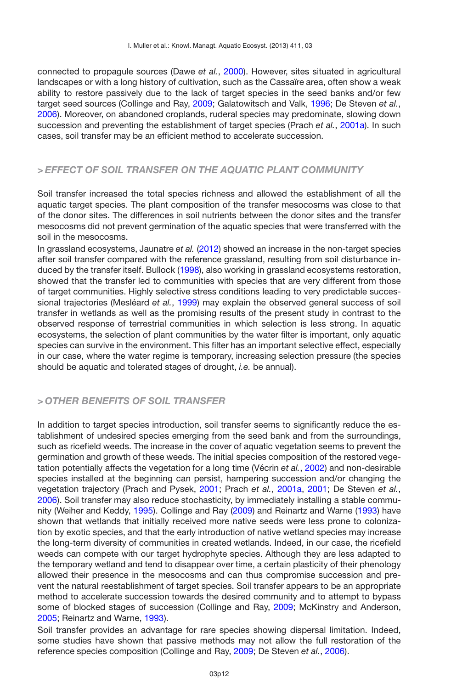connected to propagule sources (Dawe *et al.*, [2000](#page-13-17)). However, sites situated in agricultural landscapes or with a long history of cultivation, such as the Cassaïre area, often show a weak ability to restore passively due to the lack of target species in the seed banks and/or few target seed sources (Collinge and Ray, [2009](#page-13-10); Galatowitsch and Valk, [1996;](#page-13-11) De Steven *et al.*, [2006\)](#page-15-4). Moreover, on abandoned croplands, ruderal species may predominate, slowing down succession and preventing the establishment of target species (Prach *et al.*, [2001a](#page-14-4)). In such cases, soil transfer may be an efficient method to accelerate succession.

### *> EFFECT OF SOIL TRANSFER ON THE AQUATIC PLANT COMMUNITY*

Soil transfer increased the total species richness and allowed the establishment of all the aquatic target species. The plant composition of the transfer mesocosms was close to that of the donor sites. The differences in soil nutrients between the donor sites and the transfer mesocosms did not prevent germination of the aquatic species that were transferred with the soil in the mesocosms.

In grassland ecosystems, Jaunatre *et al.* [\(2012](#page-14-16)) showed an increase in the non-target species after soil transfer compared with the reference grassland, resulting from soil disturbance induced by the transfer itself. Bullock [\(1998](#page-13-12)), also working in grassland ecosystems restoration, showed that the transfer led to communities with species that are very different from those of target communities. Highly selective stress conditions leading to very predictable successional trajectories (Mesléard *et al.*, [1999\)](#page-14-17) may explain the observed general success of soil transfer in wetlands as well as the promising results of the present study in contrast to the observed response of terrestrial communities in which selection is less strong. In aquatic ecosystems, the selection of plant communities by the water filter is important, only aquatic species can survive in the environment. This filter has an important selective effect, especially in our case, where the water regime is temporary, increasing selection pressure (the species should be aquatic and tolerated stages of drought, *i.e.* be annual).

## *> OTHER BENEFITS OF SOIL TRANSFER*

In addition to target species introduction, soil transfer seems to significantly reduce the establishment of undesired species emerging from the seed bank and from the surroundings, such as ricefield weeds. The increase in the cover of aquatic vegetation seems to prevent the germination and growth of these weeds. The initial species composition of the restored vegetation potentially affects the vegetation for a long time (Vécrin *et al.*, [2002](#page-15-13)) and non-desirable species installed at the beginning can persist, hampering succession and/or changing the vegetation trajectory (Prach and Pysek, [2001;](#page-14-18) Prach *et al.*, [2001a](#page-14-4), [2001](#page-15-7); De Steven *et al.*, [2006\)](#page-15-4). Soil transfer may also reduce stochasticity, by immediately installing a stable community (Weiher and Keddy, [1995](#page-15-14)). Collinge and Ray [\(2009\)](#page-13-10) and Reinartz and Warne [\(1993\)](#page-15-5) have shown that wetlands that initially received more native seeds were less prone to colonization by exotic species, and that the early introduction of native wetland species may increase the long-term diversity of communities in created wetlands. Indeed, in our case, the ricefield weeds can compete with our target hydrophyte species. Although they are less adapted to the temporary wetland and tend to disappear over time, a certain plasticity of their phenology allowed their presence in the mesocosms and can thus compromise succession and prevent the natural reestablishment of target species. Soil transfer appears to be an appropriate method to accelerate succession towards the desired community and to attempt to bypass some of blocked stages of succession (Collinge and Ray, [2009;](#page-13-10) McKinstry and Anderson, [2005;](#page-14-7) Reinartz and Warne, [1993](#page-15-5)).

Soil transfer provides an advantage for rare species showing dispersal limitation. Indeed, some studies have shown that passive methods may not allow the full restoration of the reference species composition (Collinge and Ray, [2009;](#page-13-10) De Steven *et al.*, [2006\)](#page-15-4).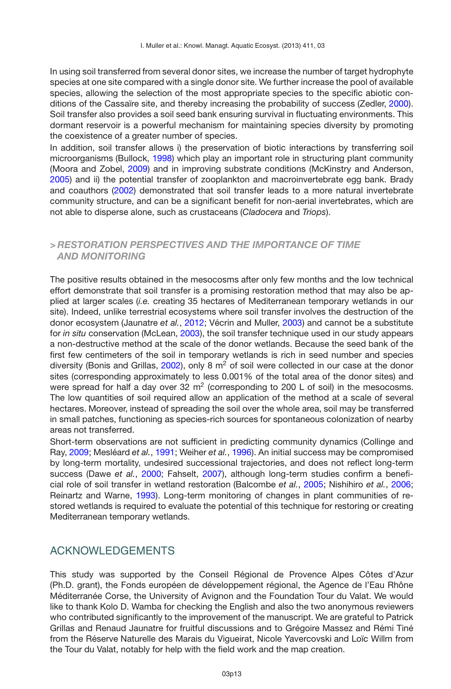In using soil transferred from several donor sites, we increase the number of target hydrophyte species at one site compared with a single donor site. We further increase the pool of available species, allowing the selection of the most appropriate species to the specific abiotic conditions of the Cassaïre site, and thereby increasing the probability of success (Zedler, [2000](#page-15-11)). Soil transfer also provides a soil seed bank ensuring survival in fluctuating environments. This dormant reservoir is a powerful mechanism for maintaining species diversity by promoting the coexistence of a greater number of species.

In addition, soil transfer allows i) the preservation of biotic interactions by transferring soil microorganisms (Bullock, [1998\)](#page-13-12) which play an important role in structuring plant community (Moora and Zobel, [2009](#page-14-19)) and in improving substrate conditions (McKinstry and Anderson, [2005\)](#page-14-7) and ii) the potential transfer of zooplankton and macroinvertebrate egg bank. Brady and coauthors [\(2002](#page-13-19)) demonstrated that soil transfer leads to a more natural invertebrate community structure, and can be a significant benefit for non-aerial invertebrates, which are not able to disperse alone, such as crustaceans (*Cladocera* and *Triops*).

## *> RESTORATION PERSPECTIVES AND THE IMPORTANCE OF TIME AND MONITORING*

The positive results obtained in the mesocosms after only few months and the low technical effort demonstrate that soil transfer is a promising restoration method that may also be applied at larger scales (*i.e.* creating 35 hectares of Mediterranean temporary wetlands in our site). Indeed, unlike terrestrial ecosystems where soil transfer involves the destruction of the donor ecosystem (Jaunatre *et al.*, [2012](#page-14-16); Vécrin and Muller, [2003\)](#page-15-15) and cannot be a substitute for *in situ* conservation (McLean, [2003](#page-14-20)), the soil transfer technique used in our study appears a non-destructive method at the scale of the donor wetlands. Because the seed bank of the first few centimeters of the soil in temporary wetlands is rich in seed number and species diversity (Bonis and Grillas,  $2002$ ), only 8  $m<sup>2</sup>$  of soil were collected in our case at the donor sites (corresponding approximately to less 0.001% of the total area of the donor sites) and were spread for half a day over  $32 \text{ m}^2$  (corresponding to  $200 \text{ L}$  of soil) in the mesocosms. The low quantities of soil required allow an application of the method at a scale of several hectares. Moreover, instead of spreading the soil over the whole area, soil may be transferred in small patches, functioning as species-rich sources for spontaneous colonization of nearby areas not transferred.

Short-term observations are not sufficient in predicting community dynamics (Collinge and Ray, [2009](#page-13-10); Mesléard *et al.*, [1991;](#page-14-21) Weiher *et al.*, [1996\)](#page-15-16). An initial success may be compromised by long-term mortality, undesired successional trajectories, and does not reflect long-term success (Dawe *et al.*, [2000](#page-13-17); Fahselt, [2007](#page-13-21)), although long-term studies confirm a beneficial role of soil transfer in wetland restoration (Balcombe *et al.*, [2005;](#page-13-13) Nishihiro *et al.*, [2006;](#page-14-8) Reinartz and Warne, [1993](#page-15-5)). Long-term monitoring of changes in plant communities of restored wetlands is required to evaluate the potential of this technique for restoring or creating Mediterranean temporary wetlands.

# ACKNOWLEDGEMENTS

This study was supported by the Conseil Régional de Provence Alpes Côtes d'Azur (Ph.D. grant), the Fonds européen de développement régional, the Agence de l'Eau Rhône Méditerranée Corse, the University of Avignon and the Foundation Tour du Valat. We would like to thank Kolo D. Wamba for checking the English and also the two anonymous reviewers who contributed significantly to the improvement of the manuscript. We are grateful to Patrick Grillas and Renaud Jaunatre for fruitful discussions and to Grégoire Massez and Rémi Tiné from the Réserve Naturelle des Marais du Vigueirat, Nicole Yavercovski and Loïc Willm from the Tour du Valat, notably for help with the field work and the map creation.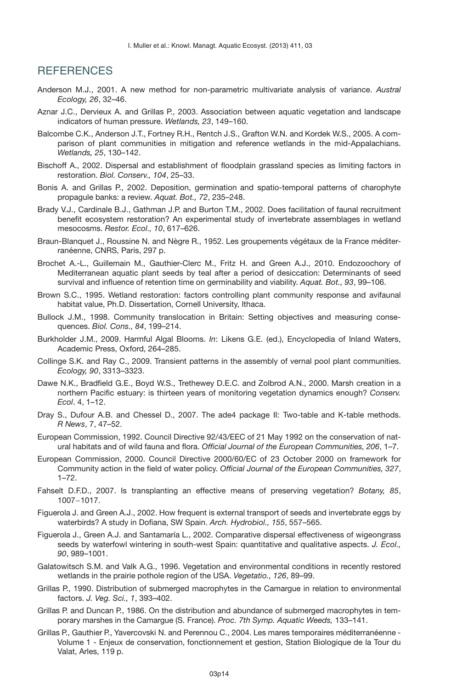# **REFERENCES**

- <span id="page-13-15"></span>Anderson M.J., 2001. A new method for non-parametric multivariate analysis of variance. *Austral Ecology, 26*, 32–46.
- <span id="page-13-3"></span>Aznar J.C., Dervieux A. and Grillas P., 2003. Association between aquatic vegetation and landscape indicators of human pressure. *Wetlands, 23*, 149–160.
- <span id="page-13-13"></span>Balcombe C.K., Anderson J.T., Fortney R.H., Rentch J.S., Grafton W.N. and Kordek W.S., 2005. A comparison of plant communities in mitigation and reference wetlands in the mid-Appalachians. *Wetlands, 25*, 130–142.
- <span id="page-13-9"></span>Bischoff A., 2002. Dispersal and establishment of floodplain grassland species as limiting factors in restoration. *Biol. Conserv., 104*, 25–33.
- <span id="page-13-20"></span>Bonis A. and Grillas P., 2002. Deposition, germination and spatio-temporal patterns of charophyte propagule banks: a review. *Aquat. Bot., 72*, 235–248.
- <span id="page-13-19"></span>Brady V.J., Cardinale B.J., Gathman J.P. and Burton T.M., 2002. Does facilitation of faunal recruitment benefit ecosystem restoration? An experimental study of invertebrate assemblages in wetland mesocosms. *Restor. Ecol., 10*, 617–626.
- <span id="page-13-14"></span>Braun-Blanquet J., Roussine N. and Nègre R., 1952. Les groupements végétaux de la France méditerranéenne, CNRS, Paris, 297 p.
- <span id="page-13-6"></span>Brochet A.-L., Guillemain M., Gauthier-Clerc M., Fritz H. and Green A.J., 2010. Endozoochory of Mediterranean aquatic plant seeds by teal after a period of desiccation: Determinants of seed survival and influence of retention time on germinability and viability. *Aquat. Bot., 93*, 99–106.
- Brown S.C., 1995. Wetland restoration: factors controlling plant community response and avifaunal habitat value, Ph.D. Dissertation, Cornell University, Ithaca.
- <span id="page-13-12"></span>Bullock J.M., 1998. Community translocation in Britain: Setting objectives and measuring consequences. *Biol. Cons., 84*, 199–214.
- <span id="page-13-18"></span>Burkholder J.M., 2009. Harmful Algal Blooms. *In*: Likens G.E. (ed.), Encyclopedia of Inland Waters, Academic Press, Oxford, 264–285.
- <span id="page-13-10"></span>Collinge S.K. and Ray C., 2009. Transient patterns in the assembly of vernal pool plant communities. *Ecology, 90*, 3313–3323.
- <span id="page-13-17"></span>Dawe N.K., Bradfield G.E., Boyd W.S., Trethewey D.E.C. and Zolbrod A.N., 2000. Marsh creation in a northern Pacific estuary: is thirteen years of monitoring vegetation dynamics enough? *Conserv. Ecol*. 4, 1–12.
- <span id="page-13-16"></span>Dray S., Dufour A.B. and Chessel D., 2007. The ade4 package II: Two-table and K-table methods. *R News*, 7, 47–52.
- <span id="page-13-4"></span>European Commission, 1992. Council Directive 92/43/EEC of 21 May 1992 on the conservation of natural habitats and of wild fauna and flora. *Official Journal of the European Communities, 206*, 1–7.
- <span id="page-13-0"></span>European Commission, 2000. Council Directive 2000/60/EC of 23 October 2000 on framework for Community action in the field of water policy. *Official Journal of the European Communities, 327*, 1–72.
- <span id="page-13-21"></span>Fahselt D.F.D., 2007. Is transplanting an effective means of preserving vegetation? *Botany, 85*, 1007−1017.
- <span id="page-13-8"></span>Figuerola J. and Green A.J., 2002. How frequent is external transport of seeds and invertebrate eggs by waterbirds? A study in Dofiana, SW Spain. *Arch. Hydrobiol., 155*, 557–565.
- <span id="page-13-7"></span>Figuerola J., Green A.J. and Santamaría L., 2002. Comparative dispersal effectiveness of wigeongrass seeds by waterfowl wintering in south-west Spain: quantitative and qualitative aspects. *J. Ecol., 90*, 989–1001.
- <span id="page-13-11"></span>Galatowitsch S.M. and Valk A.G., 1996. Vegetation and environmental conditions in recently restored wetlands in the prairie pothole region of the USA. *Vegetatio., 126*, 89–99.
- <span id="page-13-5"></span>Grillas P., 1990. Distribution of submerged macrophytes in the Camargue in relation to environmental factors. *J. Veg. Sci., 1*, 393–402.
- <span id="page-13-2"></span>Grillas P. and Duncan P., 1986. On the distribution and abundance of submerged macrophytes in temporary marshes in the Camargue (S. France). *Proc. 7th Symp. Aquatic Weeds,* 133–141.
- <span id="page-13-1"></span>Grillas P., Gauthier P., Yavercovski N. and Perennou C., 2004. Les mares temporaires méditerranéenne - Volume 1 - Enjeux de conservation, fonctionnement et gestion, Station Biologique de la Tour du Valat, Arles, 119 p.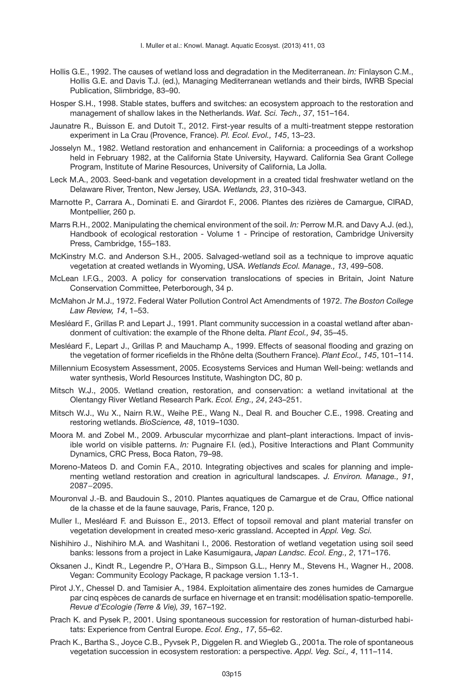- <span id="page-14-2"></span>Hollis G.E., 1992. The causes of wetland loss and degradation in the Mediterranean. *In:* Finlayson C.M., Hollis G.E. and Davis T.J. (ed.), Managing Mediterranean wetlands and their birds, IWRB Special Publication, Slimbridge, 83–90.
- <span id="page-14-14"></span>Hosper S.H., 1998. Stable states, buffers and switches: an ecosystem approach to the restoration and management of shallow lakes in the Netherlands. *Wat. Sci. Tech., 37*, 151–164.
- <span id="page-14-16"></span>Jaunatre R., Buisson E. and Dutoit T., 2012. First-year results of a multi-treatment steppe restoration experiment in La Crau (Provence, France). *Pl. Ecol. Evol., 145*, 13–23.
- Josselyn M., 1982. Wetland restoration and enhancement in California: a proceedings of a workshop held in February 1982, at the California State University, Hayward. California Sea Grant College Program, Institute of Marine Resources, University of California, La Jolla.
- <span id="page-14-5"></span>Leck M.A., 2003. Seed-bank and vegetation development in a created tidal freshwater wetland on the Delaware River, Trenton, New Jersey, USA. *Wetlands, 23*, 310–343.
- <span id="page-14-10"></span>Marnotte P., Carrara A., Dominati E. and Girardot F., 2006. Plantes des rizières de Camargue, CIRAD, Montpellier, 260 p.
- <span id="page-14-12"></span>Marrs R.H., 2002. Manipulating the chemical environment of the soil. *In:* Perrow M.R. and Davy A.J. (ed.), Handbook of ecological restoration - Volume 1 - Principe of restoration, Cambridge University Press, Cambridge, 155–183.
- <span id="page-14-7"></span>McKinstry M.C. and Anderson S.H., 2005. Salvaged-wetland soil as a technique to improve aquatic vegetation at created wetlands in Wyoming, USA. *Wetlands Ecol. Manage., 13*, 499–508.
- <span id="page-14-20"></span>McLean I.F.G., 2003. A policy for conservation translocations of species in Britain, Joint Nature Conservation Committee, Peterborough, 34 p.
- <span id="page-14-1"></span>McMahon Jr M.J., 1972. Federal Water Pollution Control Act Amendments of 1972. *The Boston College Law Review, 14*, 1–53.
- <span id="page-14-21"></span>Mesléard F., Grillas P. and Lepart J., 1991. Plant community succession in a coastal wetland after abandonment of cultivation: the example of the Rhone delta. *Plant Ecol., 94*, 35–45.
- <span id="page-14-17"></span>Mesléard F., Lepart J., Grillas P. and Mauchamp A., 1999. Effects of seasonal flooding and grazing on the vegetation of former ricefields in the Rhône delta (Southern France). *Plant Ecol., 145*, 101–114.
- <span id="page-14-0"></span>Millennium Ecosystem Assessment, 2005. Ecosystems Services and Human Well-being: wetlands and water synthesis, World Resources Institute, Washington DC, 80 p.
- Mitsch W.J., 2005. Wetland creation, restoration, and conservation: a wetland invitational at the Olentangy River Wetland Research Park. *Ecol. Eng., 24*, 243–251.
- <span id="page-14-3"></span>Mitsch W.J., Wu X., Nairn R.W., Weihe P.E., Wang N., Deal R. and Boucher C.E., 1998. Creating and restoring wetlands. *BioScience, 48*, 1019–1030.
- <span id="page-14-19"></span>Moora M. and Zobel M., 2009. Arbuscular mycorrhizae and plant–plant interactions. Impact of invisible world on visible patterns. *In:* Pugnaire F.I. (ed.), Positive Interactions and Plant Community Dynamics, CRC Press, Boca Raton, 79–98.
- <span id="page-14-6"></span>Moreno-Mateos D. and Comin F.A., 2010. Integrating objectives and scales for planning and implementing wetland restoration and creation in agricultural landscapes. *J. Environ. Manage., 91*, 2087−2095.
- <span id="page-14-9"></span>Mouronval J.-B. and Baudouin S., 2010. Plantes aquatiques de Camargue et de Crau, Office national de la chasse et de la faune sauvage, Paris, France, 120 p.
- <span id="page-14-13"></span>Muller I., Mesléard F. and Buisson E., 2013. Effect of topsoil removal and plant material transfer on vegetation development in created meso-xeric grassland. Accepted in *Appl. Veg. Sci.*
- <span id="page-14-8"></span>Nishihiro J., Nishihiro M.A. and Washitani I., 2006. Restoration of wetland vegetation using soil seed banks: lessons from a project in Lake Kasumigaura, *Japan Landsc. Ecol. Eng., 2*, 171–176.
- <span id="page-14-11"></span>Oksanen J., Kindt R., Legendre P., O'Hara B., Simpson G.L., Henry M., Stevens H., Wagner H., 2008. Vegan: Community Ecology Package, R package version 1.13-1.
- <span id="page-14-15"></span>Pirot J.Y., Chessel D. and Tamisier A., 1984. Exploitation alimentaire des zones humides de Camargue par cinq espèces de canards de surface en hivernage et en transit: modélisation spatio-temporelle. *Revue d'Ecologie (Terre & Vie), 39*, 167–192.
- <span id="page-14-18"></span>Prach K. and Pysek P., 2001. Using spontaneous succession for restoration of human-disturbed habitats: Experience from Central Europe. *Ecol. Eng., 17*, 55–62.
- <span id="page-14-4"></span>Prach K., Bartha S., Joyce C.B., Pyvsek P., Diggelen R. and Wiegleb G., 2001a. The role of spontaneous vegetation succession in ecosystem restoration: a perspective. *Appl. Veg. Sci., 4*, 111–114.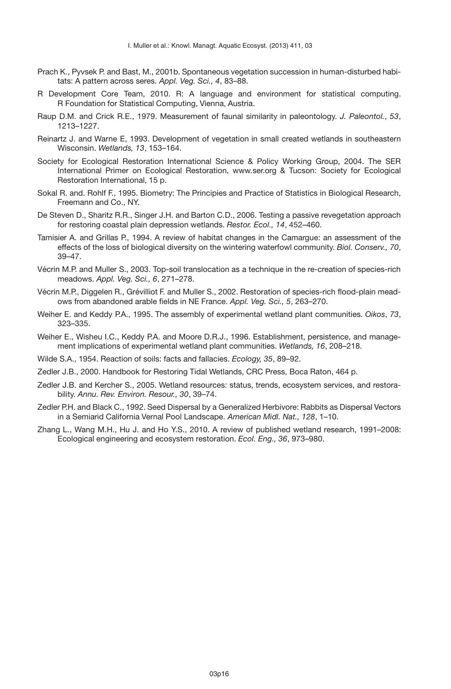- <span id="page-15-7"></span>Prach K., Pyvsek P. and Bast, M., 2001b. Spontaneous vegetation succession in human-disturbed habitats: A pattern across seres. *Appl. Veg. Sci., 4*, 83–88.
- <span id="page-15-10"></span>R Development Core Team, 2010. R: A language and environment for statistical computing. R Foundation for Statistical Computing, Vienna, Austria.
- <span id="page-15-8"></span>Raup D.M. and Crick R.E., 1979. Measurement of faunal similarity in paleontology. *J. Paleontol.*, *53*, 1213–1227.
- <span id="page-15-5"></span>Reinartz J. and Warne E, 1993. Development of vegetation in small created wetlands in southeastern Wisconsin. *Wetlands, 13*, 153–164.
- <span id="page-15-1"></span>Society for Ecological Restoration International Science & Policy Working Group, 2004. The SER International Primer on Ecological Restoration, www.ser.org & Tucson: Society for Ecological Restoration International, 15 p.
- <span id="page-15-9"></span>Sokal R. and. Rohlf F., 1995. Biometry: The Principies and Practice of Statistics in Biological Research, Freemann and Co., NY.
- <span id="page-15-4"></span>De Steven D., Sharitz R.R., Singer J.H. and Barton C.D., 2006. Testing a passive revegetation approach for restoring coastal plain depression wetlands. *Restor. Ecol., 14*, 452–460.
- <span id="page-15-3"></span>Tamisier A. and Grillas P., 1994. A review of habitat changes in the Camargue: an assessment of the effects of the loss of biological diversity on the wintering waterfowl community. *Biol. Conserv., 70*, 39–47.
- <span id="page-15-15"></span>Vécrin M.P. and Muller S., 2003. Top-soil translocation as a technique in the re-creation of species-rich meadows. *Appl. Veg. Sci., 6*, 271–278.
- <span id="page-15-13"></span>Vécrin M.P., Diggelen R., Grévilliot F. and Muller S., 2002. Restoration of species-rich flood-plain meadows from abandoned arable fields in NE France. *Appl. Veg. Sci., 5*, 263–270.
- <span id="page-15-14"></span>Weiher E. and Keddy P.A., 1995. The assembly of experimental wetland plant communities. *Oikos*, *73*, 323–335.
- <span id="page-15-16"></span>Weiher E., Wisheu I.C., Keddy P.A. and Moore D.R.J., 1996. Establishment, persistence, and management implications of experimental wetland plant communities. *Wetlands, 16*, 208–218.
- <span id="page-15-12"></span>Wilde S.A., 1954. Reaction of soils: facts and fallacies. *Ecology, 35*, 89–92.
- <span id="page-15-11"></span>Zedler J.B., 2000. Handbook for Restoring Tidal Wetlands, CRC Press, Boca Raton, 464 p.
- <span id="page-15-0"></span>Zedler J.B. and Kercher S., 2005. Wetland resources: status, trends, ecosystem services, and restorability. *Annu. Rev. Environ. Resour., 30*, 39–74.
- <span id="page-15-6"></span>Zedler P.H. and Black C., 1992. Seed Dispersal by a Generalized Herbivore: Rabbits as Dispersal Vectors in a Semiarid California Vernal Pool Landscape. *American Midl. Nat., 128*, 1–10.
- <span id="page-15-2"></span>Zhang L., Wang M.H., Hu J. and Ho Y.S., 2010. A review of published wetland research, 1991–2008: Ecological engineering and ecosystem restoration. *Ecol. Eng., 36*, 973–980.